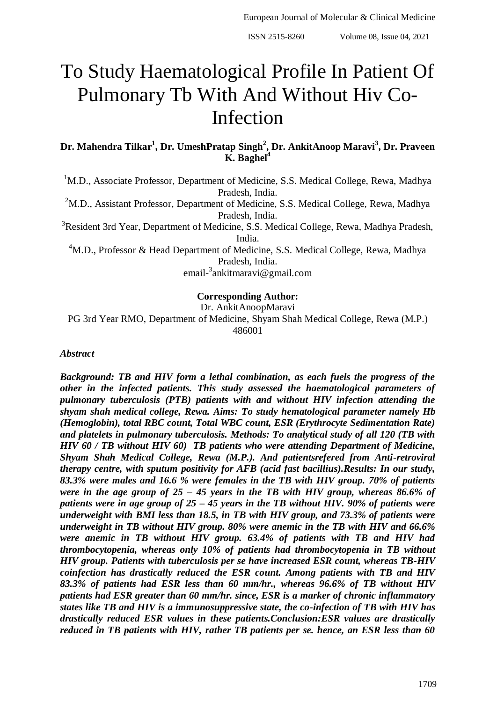# To Study Haematological Profile In Patient Of Pulmonary Tb With And Without Hiv Co-Infection

**Dr. Mahendra Tilkar<sup>1</sup> , Dr. UmeshPratap Singh<sup>2</sup> , Dr. AnkitAnoop Maravi<sup>3</sup> , Dr. Praveen K. Baghel<sup>4</sup>**

<sup>1</sup>M.D., Associate Professor, Department of Medicine, S.S. Medical College, Rewa, Madhya Pradesh, India.

<sup>2</sup>M.D., Assistant Professor, Department of Medicine, S.S. Medical College, Rewa, Madhya Pradesh, India.

<sup>3</sup>Resident 3rd Year, Department of Medicine, S.S. Medical College, Rewa, Madhya Pradesh, India.

<sup>4</sup>M.D., Professor & Head Department of Medicine, S.S. Medical College, Rewa, Madhya Pradesh, India.

email-3 ankitmaravi@gmail.com

## **Corresponding Author:**

Dr. AnkitAnoopMaravi PG 3rd Year RMO, Department of Medicine, Shyam Shah Medical College, Rewa (M.P.) 486001

*Abstract*

*Background: TB and HIV form a lethal combination, as each fuels the progress of the other in the infected patients. This study assessed the haematological parameters of pulmonary tuberculosis (PTB) patients with and without HIV infection attending the shyam shah medical college, Rewa. Aims: To study hematological parameter namely Hb (Hemoglobin), total RBC count, Total WBC count, ESR (Erythrocyte Sedimentation Rate) and platelets in pulmonary tuberculosis. Methods: To analytical study of all 120 (TB with HIV 60 / TB without HIV 60) TB patients who were attending Department of Medicine, Shyam Shah Medical College, Rewa (M.P.). And patientsrefered from Anti-retroviral therapy centre, with sputum positivity for AFB (acid fast bacillius).Results: In our study, 83.3% were males and 16.6 % were females in the TB with HIV group. 70% of patients were in the age group of 25 – 45 years in the TB with HIV group, whereas 86.6% of patients were in age group of 25 – 45 years in the TB without HIV. 90% of patients were underweight with BMI less than 18.5, in TB with HIV group, and 73.3% of patients were underweight in TB without HIV group. 80% were anemic in the TB with HIV and 66.6% were anemic in TB without HIV group. 63.4% of patients with TB and HIV had thrombocytopenia, whereas only 10% of patients had thrombocytopenia in TB without HIV group. Patients with tuberculosis per se have increased ESR count, whereas TB-HIV coinfection has drastically reduced the ESR count. Among patients with TB and HIV 83.3% of patients had ESR less than 60 mm/hr., whereas 96.6% of TB without HIV patients had ESR greater than 60 mm/hr. since, ESR is a marker of chronic inflammatory states like TB and HIV is a immunosuppressive state, the co-infection of TB with HIV has drastically reduced ESR values in these patients.Conclusion:ESR values are drastically reduced in TB patients with HIV, rather TB patients per se. hence, an ESR less than 60*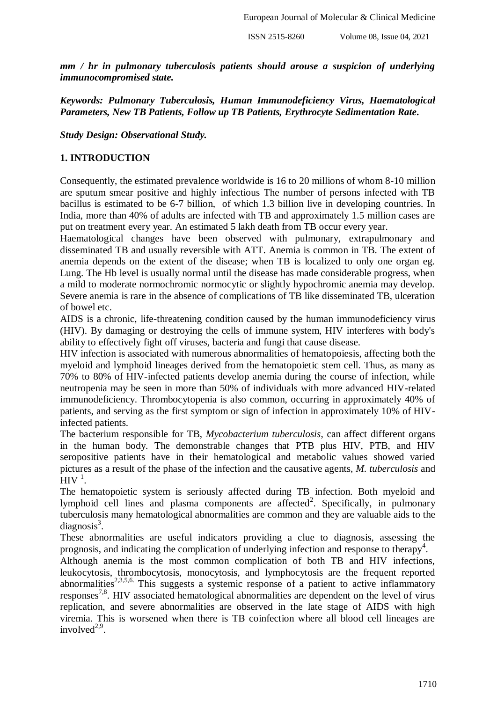*mm / hr in pulmonary tuberculosis patients should arouse a suspicion of underlying immunocompromised state.*

*Keywords: Pulmonary Tuberculosis, Human Immunodeficiency Virus, Haematological Parameters, New TB Patients, Follow up TB Patients, Erythrocyte Sedimentation Rate.*

*Study Design: Observational Study.* 

## **1. INTRODUCTION**

Consequently, the estimated prevalence worldwide is 16 to 20 millions of whom 8-10 million are sputum smear positive and highly infectious The number of persons infected with TB bacillus is estimated to be 6-7 billion, of which 1.3 billion live in developing countries. In India, more than 40% of adults are infected with TB and approximately 1.5 million cases are put on treatment every year. An estimated 5 lakh death from TB occur every year.

Haematological changes have been observed with pulmonary, extrapulmonary and disseminated TB and usually reversible with ATT. Anemia is common in TB. The extent of anemia depends on the extent of the disease; when TB is localized to only one organ eg. Lung. The Hb level is usually normal until the disease has made considerable progress, when a mild to moderate normochromic normocytic or slightly hypochromic anemia may develop. Severe anemia is rare in the absence of complications of TB like disseminated TB, ulceration of bowel etc.

AIDS is a chronic, life-threatening condition caused by the human immunodeficiency virus (HIV). By damaging or destroying the cells of immune system, HIV interferes with body's ability to effectively fight off viruses, bacteria and fungi that cause disease.

HIV infection is associated with numerous abnormalities of hematopoiesis, affecting both the myeloid and lymphoid lineages derived from the hematopoietic stem cell. Thus, as many as 70% to 80% of HIV-infected patients develop anemia during the course of infection, while neutropenia may be seen in more than 50% of individuals with more advanced HIV-related immunodeficiency. Thrombocytopenia is also common, occurring in approximately 40% of patients, and serving as the first symptom or sign of infection in approximately 10% of HIVinfected patients.

The bacterium responsible for TB, *Mycobacterium tuberculosis*, can affect different organs in the human body. The demonstrable changes that PTB plus HIV, PTB, and HIV seropositive patients have in their hematological and metabolic values showed varied pictures as a result of the phase of the infection and the causative agents, *M. tuberculosis* and  $H$ IV<sup>1</sup>.

The hematopoietic system is seriously affected during TB infection. Both myeloid and lymphoid cell lines and plasma components are affected<sup>2</sup>. Specifically, in pulmonary tuberculosis many hematological abnormalities are common and they are valuable aids to the  $diagnostic<sup>3</sup>$ .

These abnormalities are useful indicators providing a clue to diagnosis, assessing the prognosis, and indicating the complication of underlying infection and response to therapy<sup>4</sup>.

Although anemia is the most common complication of both TB and HIV infections, leukocytosis, thrombocytosis, monocytosis, and lymphocytosis are the frequent reported abnormalities<sup>2,3,5,6.</sup> This suggests a systemic response of a patient to active inflammatory responses<sup>7,8</sup>. HIV associated hematological abnormalities are dependent on the level of virus replication, and severe abnormalities are observed in the late stage of AIDS with high viremia. This is worsened when there is TB coinfection where all blood cell lineages are involved $2,9$ .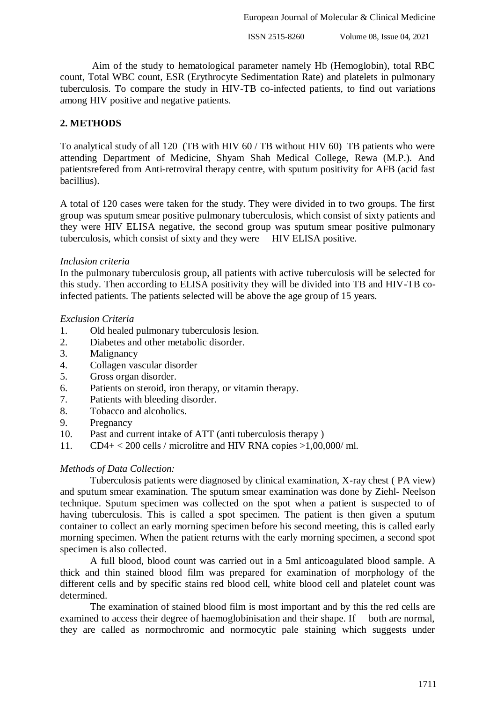Aim of the study to hematological parameter namely Hb (Hemoglobin), total RBC count, Total WBC count, ESR (Erythrocyte Sedimentation Rate) and platelets in pulmonary tuberculosis. To compare the study in HIV-TB co-infected patients, to find out variations among HIV positive and negative patients.

## **2. METHODS**

To analytical study of all 120 (TB with HIV 60 / TB without HIV 60) TB patients who were attending Department of Medicine, Shyam Shah Medical College, Rewa (M.P.). And patientsrefered from Anti-retroviral therapy centre, with sputum positivity for AFB (acid fast bacillius).

A total of 120 cases were taken for the study. They were divided in to two groups. The first group was sputum smear positive pulmonary tuberculosis, which consist of sixty patients and they were HIV ELISA negative, the second group was sputum smear positive pulmonary tuberculosis, which consist of sixty and they were HIV ELISA positive.

## *Inclusion criteria*

In the pulmonary tuberculosis group, all patients with active tuberculosis will be selected for this study. Then according to ELISA positivity they will be divided into TB and HIV-TB coinfected patients. The patients selected will be above the age group of 15 years.

## *Exclusion Criteria*

- 1. Old healed pulmonary tuberculosis lesion.
- 2. Diabetes and other metabolic disorder.
- 3. Malignancy
- 4. Collagen vascular disorder
- 5. Gross organ disorder.
- 6. Patients on steroid, iron therapy, or vitamin therapy.
- 7. Patients with bleeding disorder.
- 8. Tobacco and alcoholics.
- 9. Pregnancy
- 10. Past and current intake of ATT (anti tuberculosis therapy )
- 11. CD4+ < 200 cells / microlitre and HIV RNA copies >1,00,000/ ml.

## *Methods of Data Collection:*

Tuberculosis patients were diagnosed by clinical examination, X-ray chest ( PA view) and sputum smear examination. The sputum smear examination was done by Ziehl- Neelson technique. Sputum specimen was collected on the spot when a patient is suspected to of having tuberculosis. This is called a spot specimen. The patient is then given a sputum container to collect an early morning specimen before his second meeting, this is called early morning specimen. When the patient returns with the early morning specimen, a second spot specimen is also collected.

A full blood, blood count was carried out in a 5ml anticoagulated blood sample. A thick and thin stained blood film was prepared for examination of morphology of the different cells and by specific stains red blood cell, white blood cell and platelet count was determined.

The examination of stained blood film is most important and by this the red cells are examined to access their degree of haemoglobinisation and their shape. If both are normal, they are called as normochromic and normocytic pale staining which suggests under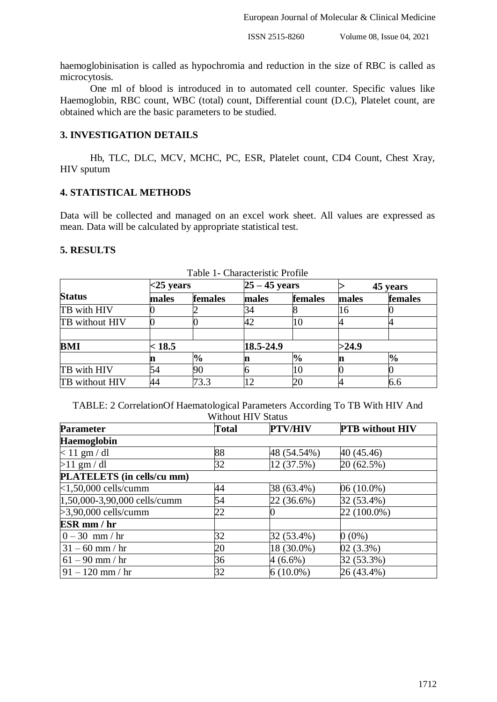haemoglobinisation is called as hypochromia and reduction in the size of RBC is called as microcytosis.

One ml of blood is introduced in to automated cell counter. Specific values like Haemoglobin, RBC count, WBC (total) count, Differential count (D.C), Platelet count, are obtained which are the basic parameters to be studied.

# **3. INVESTIGATION DETAILS**

Hb, TLC, DLC, MCV, MCHC, PC, ESR, Platelet count, CD4 Count, Chest Xray, HIV sputum

## **4. STATISTICAL METHODS**

Data will be collected and managed on an excel work sheet. All values are expressed as mean. Data will be calculated by appropriate statistical test.

#### **5. RESULTS**

|                | $<$ 25 years |               | $25 - 45$ years |               | 45 years |               |  |
|----------------|--------------|---------------|-----------------|---------------|----------|---------------|--|
| <b>Status</b>  | males        | females       | males           | females       | males    | females       |  |
| TB with HIV    |              |               |                 |               | 16       |               |  |
| TB without HIV |              |               | 42              | 10            |          |               |  |
| BMI            | < 18.5       |               | 18.5-24.9       |               | >24.9    |               |  |
|                | n            | $\frac{1}{2}$ |                 | $\frac{1}{2}$ | n        | $\frac{1}{2}$ |  |
| TB with HIV    | 54           | 90            |                 | 10            |          |               |  |
| TB without HIV | 44           | 73.3          | 12              | 20            |          | 6.6           |  |

Table 1- Characteristic Profile

TABLE: 2 CorrelationOf Haematological Parameters According To TB With HIV And Without HIV Status

| <b>Parameter</b>             | <b>Total</b> | <b>PTV/HIV</b> | <b>PTB</b> without HIV |  |  |  |  |  |
|------------------------------|--------------|----------------|------------------------|--|--|--|--|--|
| <b>Haemoglobin</b>           |              |                |                        |  |  |  |  |  |
| $< 11$ gm / dl               | 88           | 48 (54.54%)    | 40 (45.46)             |  |  |  |  |  |
| $>11$ gm / dl                | 32           | 12 (37.5%)     | 20 (62.5%)             |  |  |  |  |  |
| PLATELETS (in cells/cu mm)   |              |                |                        |  |  |  |  |  |
| $<$ 1,50,000 cells/cumm      | 44           | 38 (63.4%)     | 06 (10.0%)             |  |  |  |  |  |
| 1,50,000-3,90,000 cells/cumm | 54           | 22 (36.6%)     | 32 (53.4%)             |  |  |  |  |  |
| $>3,90,000$ cells/cumm       | 22           |                | $22(100.0\%)$          |  |  |  |  |  |
| ESR mm / hr                  |              |                |                        |  |  |  |  |  |
| $0 - 30$ mm / hr             | 32           | 32 (53.4%)     | $0(0\%)$               |  |  |  |  |  |
| $31 - 60$ mm / hr            | 20           | 18 (30.0%)     | $02(3.3\%)$            |  |  |  |  |  |
| $61 - 90$ mm / hr            | 36           | $4(6.6\%)$     | 32 (53.3%)             |  |  |  |  |  |
| $91 - 120$ mm / hr           | 32           | $6(10.0\%)$    | 26 (43.4%)             |  |  |  |  |  |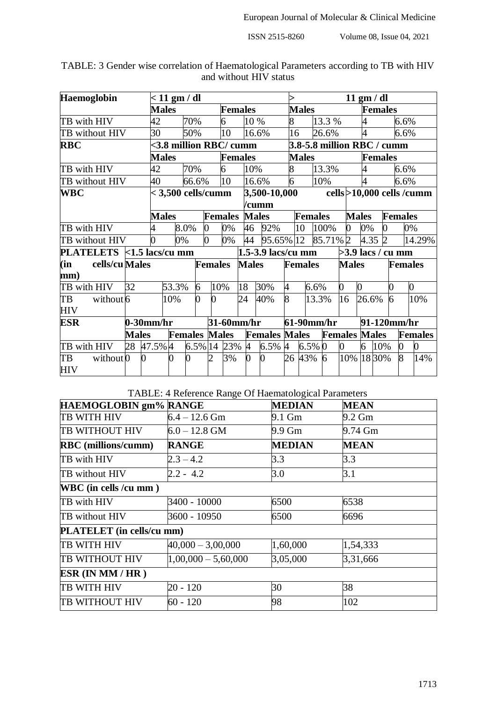| Haemoglobin                | $< 11$ gm / dl |                |                            |                |                |                |                |                      |                            | $11 \text{ gm} / \text{dl}$ |                |                      |                |                |                |                |                             |
|----------------------------|----------------|----------------|----------------------------|----------------|----------------|----------------|----------------|----------------------|----------------------------|-----------------------------|----------------|----------------------|----------------|----------------|----------------|----------------|-----------------------------|
|                            |                |                | <b>Males</b>               |                |                | <b>Females</b> |                |                      | <b>Males</b>               |                             |                | <b>Females</b>       |                |                |                |                |                             |
| TB with HIV                |                | 42             |                            | 70%            |                | 6              |                | 10 %                 | 8                          |                             | 13.3 %         |                      | 4              |                |                | 6.6%           |                             |
| TB without HIV             |                | 30             |                            | 50%            |                | 10             |                | 16.6%                | 16                         |                             | 26.6%          |                      | 4              |                |                | 6.6%           |                             |
| <b>RBC</b>                 |                |                | <3.8 million RBC/ cumm     |                |                |                |                |                      | 3.8-5.8 million RBC / cumm |                             |                |                      |                |                |                |                |                             |
|                            |                |                | <b>Males</b>               |                |                | <b>Females</b> |                |                      |                            | <b>Males</b>                |                |                      |                | <b>Females</b> |                |                |                             |
| TB with HIV                |                | 42             |                            | 70%            |                | 6              |                | 10%                  | 8                          |                             | 13.3%          |                      | 4              |                |                | 6.6%           |                             |
| TB without HIV             |                | 40             |                            | 66.6%          |                | 10             |                | 16.6%                | 6                          |                             | 10%            |                      | 4              |                |                | 6.6%           |                             |
| <b>WBC</b>                 |                |                | $<$ 3,500 cells/cumm       |                |                |                |                | 3,500-10,000         |                            |                             |                |                      |                |                |                |                | cells > 10,000 cells / cumm |
|                            |                |                |                            |                |                |                | /cumm          |                      |                            |                             |                |                      |                |                |                |                |                             |
|                            |                |                | <b>Males</b>               |                |                | <b>Females</b> |                | <b>Males</b>         |                            | <b>Females</b>              |                |                      | <b>Males</b>   |                | <b>Females</b> |                |                             |
| TB with HIV                |                | 4              |                            | 8.0%           | 0              | 0%             | 46             | 92%                  |                            | 10                          | 100%           | 0                    | 0%             | 0              |                | 0%             |                             |
| TB without HIV             |                | 0              | 0%                         |                | 0              | 0%             | 44             | 95.65% 12            |                            |                             | 85.71% 2       |                      |                | 4.35 2         |                |                | 14.29%                      |
| PLATELETS <1.5 lacs/cu mm  |                |                |                            |                |                |                |                | 1.5-3.9 lacs/cu mm   |                            |                             |                | $>3.9$ lacs / cu mm  |                |                |                |                |                             |
| cells/cu Males<br>(in      |                |                |                            |                | <b>Females</b> |                | <b>Males</b>   |                      |                            | <b>Females</b>              |                | <b>Males</b>         |                |                |                |                | <b>Females</b>              |
| mm)                        |                |                |                            |                |                |                |                |                      |                            |                             |                |                      |                |                |                |                |                             |
| TB with HIV                | 32             |                | 53.3%                      | 6              | 10%            |                | 18             | 30%                  | 4                          | 6.6%                        |                | $\boldsymbol{0}$     | $\overline{0}$ |                | 0              |                | 0                           |
| TB<br>without 6            |                |                | 10%                        | $\overline{0}$ | 0              |                | 24             | 40%                  | 8                          |                             | 13.3%          | 16                   | 26.6%          |                | $\overline{6}$ |                | 10%                         |
| <b>HIV</b>                 |                |                |                            |                |                |                |                |                      |                            |                             |                |                      |                |                |                |                |                             |
| <b>ESR</b>                 |                |                | 31-60mm/hr<br>$0-30$ mm/hr |                |                |                |                |                      | 61-90mm/hr                 |                             |                |                      | 91-120mm/hr    |                |                |                |                             |
|                            | <b>Males</b>   |                | <b>Females Males</b>       |                |                |                |                | <b>Females Males</b> |                            |                             |                | <b>Females Males</b> |                |                |                | <b>Females</b> |                             |
| TB with HIV                |                | 28 47.5% 4     |                            | 6.5% 14        |                | 23%            | $\overline{A}$ | 6.5%                 | $\overline{4}$             | 6.5% 0                      |                | 0                    | 6              | 10%            |                | 0              | 0                           |
| TB<br>without <sub>0</sub> |                | $\overline{0}$ | 0                          | 0              |                | 3%             | $\overline{0}$ | $\bf{0}$             |                            | 26 43%                      | $\overline{6}$ | 10%                  |                | 1830%          |                | 8              | 14%                         |
| <b>HIV</b>                 |                |                |                            |                |                |                |                |                      |                            |                             |                |                      |                |                |                |                |                             |

TABLE: 3 Gender wise correlation of Haematological Parameters according to TB with HIV and without HIV status

TABLE: 4 Reference Range Of Haematological Parameters

| HAEMOGLOBIN gm% RANGE      |                       | <b>MEDIAN</b> | <b>MEAN</b> |  |  |
|----------------------------|-----------------------|---------------|-------------|--|--|
| <b>TB WITH HIV</b>         | $6.4 - 12.6$ Gm       | 9.1 Gm        | 9.2 Gm      |  |  |
| TB WITHOUT HIV             | $6.0 - 12.8$ GM       | 9.9 Gm        | 9.74 Gm     |  |  |
| <b>RBC</b> (millions/cumm) | <b>RANGE</b>          | <b>MEDIAN</b> | <b>MEAN</b> |  |  |
| TB with HIV                | $2.3 - 4.2$           | 3.3           | 3.3         |  |  |
| TB without HIV             | $2.2 - 4.2$           | 3.0           | 3.1         |  |  |
| WBC (in cells /cu mm)      |                       |               |             |  |  |
| TB with HIV                | 3400 - 10000          | 6500          | 6538        |  |  |
| TB without HIV             | 3600 - 10950          | 6500          | 6696        |  |  |
| PLATELET (in cells/cu mm)  |                       |               |             |  |  |
| <b>TB WITH HIV</b>         | $40,000 - 3,00,000$   | 1,60,000      | 1,54,333    |  |  |
| <b>TB WITHOUT HIV</b>      | $1,00,000 - 5,60,000$ | 3,05,000      | 3,31,666    |  |  |
| ESR (IN MM / HR)           |                       |               |             |  |  |
| <b>TB WITH HIV</b>         | $20 - 120$            | 30            | 38          |  |  |
| <b>TB WITHOUT HIV</b>      | $60 - 120$            | 98            | 102         |  |  |
|                            |                       |               |             |  |  |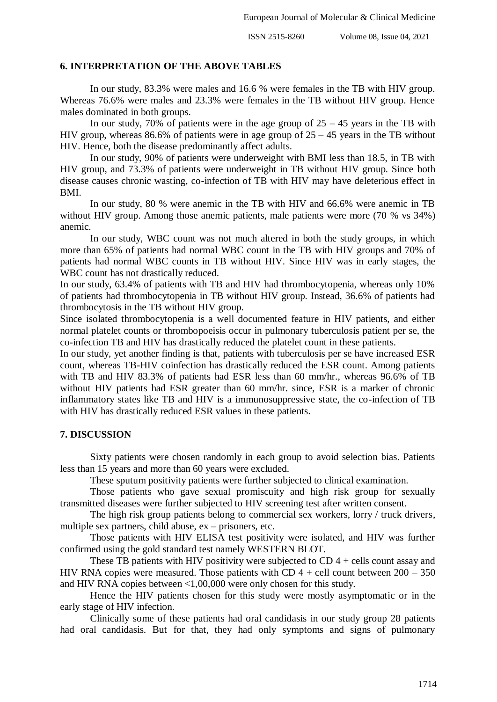#### **6. INTERPRETATION OF THE ABOVE TABLES**

In our study, 83.3% were males and 16.6 % were females in the TB with HIV group. Whereas 76.6% were males and 23.3% were females in the TB without HIV group. Hence males dominated in both groups.

In our study, 70% of patients were in the age group of  $25 - 45$  years in the TB with HIV group, whereas 86.6% of patients were in age group of 25 – 45 years in the TB without HIV. Hence, both the disease predominantly affect adults.

In our study, 90% of patients were underweight with BMI less than 18.5, in TB with HIV group, and 73.3% of patients were underweight in TB without HIV group. Since both disease causes chronic wasting, co-infection of TB with HIV may have deleterious effect in BMI.

In our study, 80 % were anemic in the TB with HIV and 66.6% were anemic in TB without HIV group. Among those anemic patients, male patients were more (70 % vs 34%) anemic.

In our study, WBC count was not much altered in both the study groups, in which more than 65% of patients had normal WBC count in the TB with HIV groups and 70% of patients had normal WBC counts in TB without HIV. Since HIV was in early stages, the WBC count has not drastically reduced.

In our study, 63.4% of patients with TB and HIV had thrombocytopenia, whereas only 10% of patients had thrombocytopenia in TB without HIV group. Instead, 36.6% of patients had thrombocytosis in the TB without HIV group.

Since isolated thrombocytopenia is a well documented feature in HIV patients, and either normal platelet counts or thrombopoeisis occur in pulmonary tuberculosis patient per se, the co-infection TB and HIV has drastically reduced the platelet count in these patients.

In our study, yet another finding is that, patients with tuberculosis per se have increased ESR count, whereas TB-HIV coinfection has drastically reduced the ESR count. Among patients with TB and HIV 83.3% of patients had ESR less than 60 mm/hr., whereas 96.6% of TB without HIV patients had ESR greater than 60 mm/hr. since, ESR is a marker of chronic inflammatory states like TB and HIV is a immunosuppressive state, the co-infection of TB with HIV has drastically reduced ESR values in these patients.

## **7. DISCUSSION**

Sixty patients were chosen randomly in each group to avoid selection bias. Patients less than 15 years and more than 60 years were excluded.

These sputum positivity patients were further subjected to clinical examination.

Those patients who gave sexual promiscuity and high risk group for sexually transmitted diseases were further subjected to HIV screening test after written consent.

The high risk group patients belong to commercial sex workers, lorry / truck drivers, multiple sex partners, child abuse, ex – prisoners, etc.

Those patients with HIV ELISA test positivity were isolated, and HIV was further confirmed using the gold standard test namely WESTERN BLOT.

These TB patients with HIV positivity were subjected to  $CD$  4 + cells count assay and HIV RNA copies were measured. Those patients with CD  $4 +$  cell count between  $200 - 350$ and HIV RNA copies between <1,00,000 were only chosen for this study.

Hence the HIV patients chosen for this study were mostly asymptomatic or in the early stage of HIV infection.

Clinically some of these patients had oral candidasis in our study group 28 patients had oral candidasis. But for that, they had only symptoms and signs of pulmonary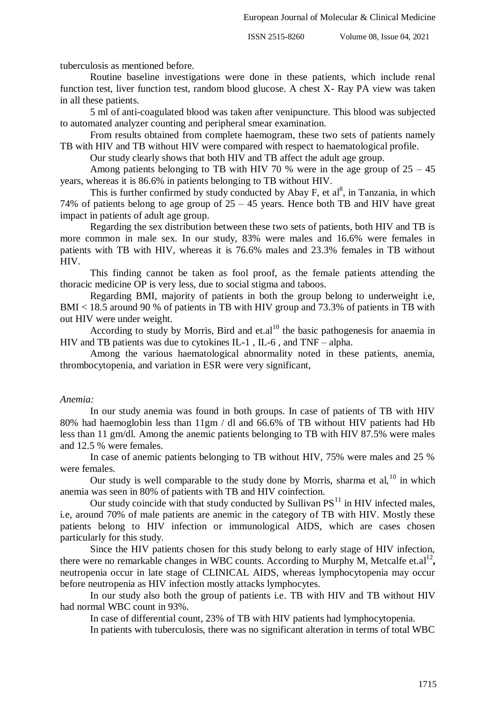tuberculosis as mentioned before.

Routine baseline investigations were done in these patients, which include renal function test, liver function test, random blood glucose. A chest X- Ray PA view was taken in all these patients.

5 ml of anti-coagulated blood was taken after venipuncture. This blood was subjected to automated analyzer counting and peripheral smear examination.

From results obtained from complete haemogram, these two sets of patients namely TB with HIV and TB without HIV were compared with respect to haematological profile.

Our study clearly shows that both HIV and TB affect the adult age group.

Among patients belonging to TB with HIV 70 % were in the age group of  $25 - 45$ years, whereas it is 86.6% in patients belonging to TB without HIV.

This is further confirmed by study conducted by Abay F, et  $al^8$ , in Tanzania, in which 74% of patients belong to age group of 25 – 45 years. Hence both TB and HIV have great impact in patients of adult age group.

Regarding the sex distribution between these two sets of patients, both HIV and TB is more common in male sex. In our study, 83% were males and 16.6% were females in patients with TB with HIV, whereas it is 76.6% males and 23.3% females in TB without HIV.

This finding cannot be taken as fool proof, as the female patients attending the thoracic medicine OP is very less, due to social stigma and taboos.

Regarding BMI, majority of patients in both the group belong to underweight i.e, BMI < 18.5 around 90 % of patients in TB with HIV group and 73.3% of patients in TB with out HIV were under weight.

According to study by Morris, Bird and et.al<sup>10</sup> the basic pathogenesis for anaemia in HIV and TB patients was due to cytokines IL-1 , IL-6 , and TNF – alpha.

Among the various haematological abnormality noted in these patients, anemia, thrombocytopenia, and variation in ESR were very significant,

## *Anemia:*

In our study anemia was found in both groups. In case of patients of TB with HIV 80% had haemoglobin less than 11gm / dl and 66.6% of TB without HIV patients had Hb less than 11 gm/dl. Among the anemic patients belonging to TB with HIV 87.5% were males and 12.5 % were females.

In case of anemic patients belonging to TB without HIV, 75% were males and 25 % were females.

Our study is well comparable to the study done by Morris, sharma et al,  $^{10}$  in which anemia was seen in 80% of patients with TB and HIV coinfection.

Our study coincide with that study conducted by Sullivan  $PS<sup>11</sup>$  in HIV infected males, i.e, around 70% of male patients are anemic in the category of TB with HIV. Mostly these patients belong to HIV infection or immunological AIDS, which are cases chosen particularly for this study.

Since the HIV patients chosen for this study belong to early stage of HIV infection, there were no remarkable changes in WBC counts. According to Murphy M, Metcalfe et.al<sup>12</sup>, neutropenia occur in late stage of CLINICAL AIDS, whereas lymphocytopenia may occur before neutropenia as HIV infection mostly attacks lymphocytes.

In our study also both the group of patients i.e. TB with HIV and TB without HIV had normal WBC count in 93%.

In case of differential count, 23% of TB with HIV patients had lymphocytopenia.

In patients with tuberculosis, there was no significant alteration in terms of total WBC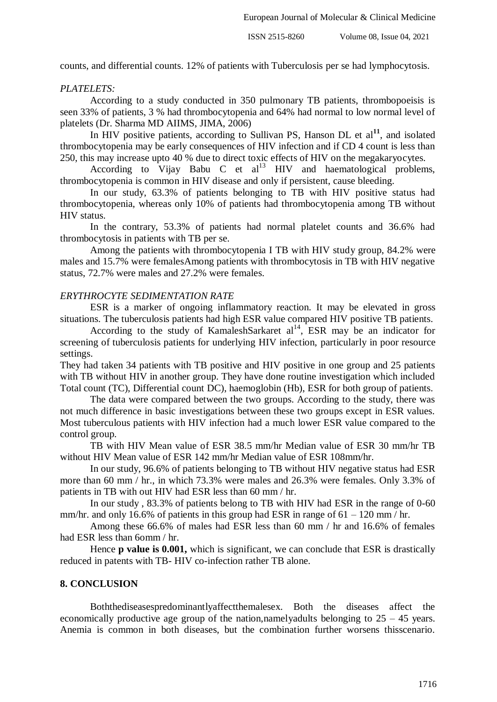counts, and differential counts. 12% of patients with Tuberculosis per se had lymphocytosis.

## *PLATELETS:*

According to a study conducted in 350 pulmonary TB patients, thrombopoeisis is seen 33% of patients, 3 % had thrombocytopenia and 64% had normal to low normal level of platelets (Dr. Sharma MD AIIMS, JIMA, 2006)

In HIV positive patients, according to Sullivan PS, Hanson DL et  $al<sup>11</sup>$ , and isolated thrombocytopenia may be early consequences of HIV infection and if CD 4 count is less than 250, this may increase upto 40 % due to direct toxic effects of HIV on the megakaryocytes.

According to Vijay Babu C et  $al<sup>13</sup>$  HIV and haematological problems, thrombocytopenia is common in HIV disease and only if persistent, cause bleeding.

In our study, 63.3% of patients belonging to TB with HIV positive status had thrombocytopenia, whereas only 10% of patients had thrombocytopenia among TB without HIV status.

In the contrary, 53.3% of patients had normal platelet counts and 36.6% had thrombocytosis in patients with TB per se.

Among the patients with thrombocytopenia I TB with HIV study group, 84.2% were males and 15.7% were femalesAmong patients with thrombocytosis in TB with HIV negative status, 72.7% were males and 27.2% were females.

## *ERYTHROCYTE SEDIMENTATION RATE*

ESR is a marker of ongoing inflammatory reaction. It may be elevated in gross situations. The tuberculosis patients had high ESR value compared HIV positive TB patients.

According to the study of KamaleshSarkaret  $al<sup>14</sup>$ , ESR may be an indicator for screening of tuberculosis patients for underlying HIV infection, particularly in poor resource settings.

They had taken 34 patients with TB positive and HIV positive in one group and 25 patients with TB without HIV in another group. They have done routine investigation which included Total count (TC), Differential count DC), haemoglobin (Hb), ESR for both group of patients.

The data were compared between the two groups. According to the study, there was not much difference in basic investigations between these two groups except in ESR values. Most tuberculous patients with HIV infection had a much lower ESR value compared to the control group.

TB with HIV Mean value of ESR 38.5 mm/hr Median value of ESR 30 mm/hr TB without HIV Mean value of ESR 142 mm/hr Median value of ESR 108mm/hr.

In our study, 96.6% of patients belonging to TB without HIV negative status had ESR more than 60 mm / hr., in which 73.3% were males and 26.3% were females. Only 3.3% of patients in TB with out HIV had ESR less than 60 mm / hr.

In our study , 83.3% of patients belong to TB with HIV had ESR in the range of 0-60 mm/hr. and only 16.6% of patients in this group had ESR in range of  $61 - 120$  mm/hr.

Among these 66.6% of males had ESR less than 60 mm / hr and 16.6% of females had ESR less than 6omm / hr.

Hence **p value is 0.001,** which is significant, we can conclude that ESR is drastically reduced in patents with TB- HIV co-infection rather TB alone.

## **8. CONCLUSION**

Boththediseasespredominantlyaffectthemalesex. Both the diseases affect the economically productive age group of the nation,namelyadults belonging to  $25 - 45$  years. Anemia is common in both diseases, but the combination further worsens thisscenario.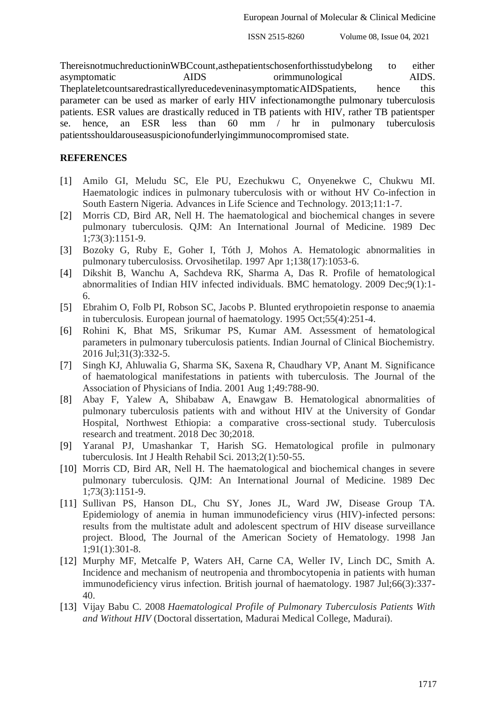ThereisnotmuchreductioninWBCcount,asthepatientschosenforthisstudybelong to either asymptomatic AIDS orimmunological AIDS. TheplateletcountsaredrasticallyreducedeveninasymptomaticAIDSpatients, hence this parameter can be used as marker of early HIV infectionamongthe pulmonary tuberculosis patients. ESR values are drastically reduced in TB patients with HIV, rather TB patientsper se. hence, an ESR less than 60 mm / hr in pulmonary tuberculosis patientsshouldarouseasuspicionofunderlyingimmunocompromised state.

## **REFERENCES**

- [1] Amilo GI, Meludu SC, Ele PU, Ezechukwu C, Onyenekwe C, Chukwu MI. Haematologic indices in pulmonary tuberculosis with or without HV Co-infection in South Eastern Nigeria. Advances in Life Science and Technology. 2013;11:1-7.
- [2] Morris CD, Bird AR, Nell H. The haematological and biochemical changes in severe pulmonary tuberculosis. QJM: An International Journal of Medicine. 1989 Dec 1;73(3):1151-9.
- [3] Bozoky G, Ruby E, Goher I, Tóth J, Mohos A. Hematologic abnormalities in pulmonary tuberculosiss. Orvosihetilap. 1997 Apr 1;138(17):1053-6.
- [4] Dikshit B, Wanchu A, Sachdeva RK, Sharma A, Das R. Profile of hematological abnormalities of Indian HIV infected individuals. BMC hematology. 2009 Dec;9(1):1- 6.
- [5] Ebrahim O, Folb PI, Robson SC, Jacobs P. Blunted erythropoietin response to anaemia in tuberculosis. European journal of haematology. 1995 Oct;55(4):251-4.
- [6] Rohini K, Bhat MS, Srikumar PS, Kumar AM. Assessment of hematological parameters in pulmonary tuberculosis patients. Indian Journal of Clinical Biochemistry. 2016 Jul;31(3):332-5.
- [7] Singh KJ, Ahluwalia G, Sharma SK, Saxena R, Chaudhary VP, Anant M. Significance of haematological manifestations in patients with tuberculosis. The Journal of the Association of Physicians of India. 2001 Aug 1;49:788-90.
- [8] Abay F, Yalew A, Shibabaw A, Enawgaw B. Hematological abnormalities of pulmonary tuberculosis patients with and without HIV at the University of Gondar Hospital, Northwest Ethiopia: a comparative cross-sectional study. Tuberculosis research and treatment. 2018 Dec 30;2018.
- [9] Yaranal PJ, Umashankar T, Harish SG. Hematological profile in pulmonary tuberculosis. Int J Health Rehabil Sci. 2013;2(1):50-55.
- [10] Morris CD, Bird AR, Nell H. The haematological and biochemical changes in severe pulmonary tuberculosis. QJM: An International Journal of Medicine. 1989 Dec 1;73(3):1151-9.
- [11] Sullivan PS, Hanson DL, Chu SY, Jones JL, Ward JW, Disease Group TA. Epidemiology of anemia in human immunodeficiency virus (HIV)-infected persons: results from the multistate adult and adolescent spectrum of HIV disease surveillance project. Blood, The Journal of the American Society of Hematology. 1998 Jan 1;91(1):301-8.
- [12] Murphy MF, Metcalfe P, Waters AH, Carne CA, Weller IV, Linch DC, Smith A. Incidence and mechanism of neutropenia and thrombocytopenia in patients with human immunodeficiency virus infection. British journal of haematology. 1987 Jul;66(3):337- 40.
- [13] Vijay Babu C. 2008 *Haematological Profile of Pulmonary Tuberculosis Patients With and Without HIV* (Doctoral dissertation, Madurai Medical College, Madurai).